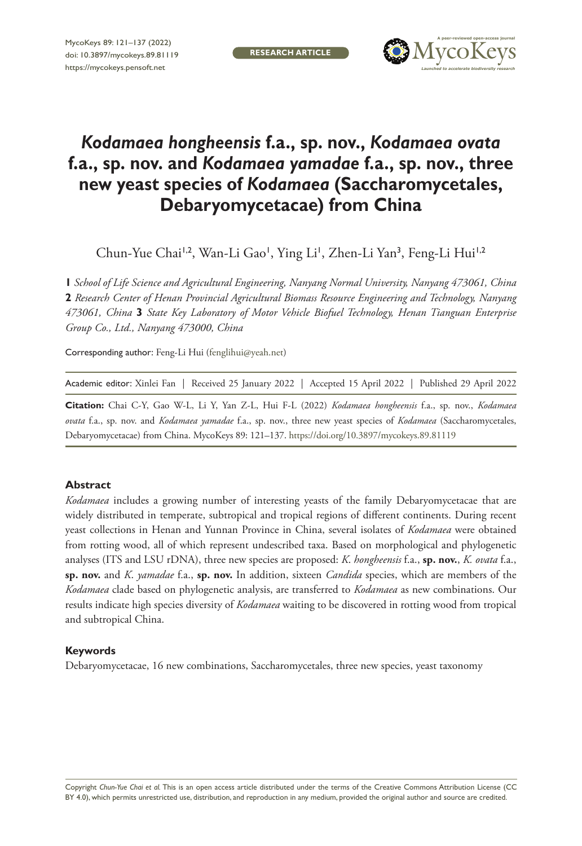

## *Kodamaea hongheensis* **f.a., sp. nov.,** *Kodamaea ovata* **f.a., sp. nov. and** *Kodamaea yamadae* **f.a., sp. nov., three new yeast species of** *Kodamaea* **(Saccharomycetales, Debaryomycetacae) from China**

Chun-Yue Chai<sup>1,2</sup>, Wan-Li Gao', Ying Li', Zhen-Li Yan<sup>3</sup>, Feng-Li Hui<sup>1,2</sup>

**1** *School of Life Science and Agricultural Engineering, Nanyang Normal University, Nanyang 473061, China*  **2** *Research Center of Henan Provincial Agricultural Biomass Resource Engineering and Technology, Nanyang 473061, China* **3** *State Key Laboratory of Motor Vehicle Biofuel Technology, Henan Tianguan Enterprise Group Co., Ltd., Nanyang 473000, China*

Corresponding author: Feng-Li Hui [\(fenglihui@yeah.net\)](mailto:fenglihui@yeah.net)

|  | Academic editor: Xinlei Fan   Received 25 January 2022   Accepted 15 April 2022   Published 29 April 2022 |  |  |
|--|-----------------------------------------------------------------------------------------------------------|--|--|
|--|-----------------------------------------------------------------------------------------------------------|--|--|

**Citation:** Chai C-Y, Gao W-L, Li Y, Yan Z-L, Hui F-L (2022) *Kodamaea hongheensis* f.a., sp. nov., *Kodamaea ovata* f.a., sp. nov. and *Kodamaea yamadae* f.a., sp. nov., three new yeast species of *Kodamaea* (Saccharomycetales, Debaryomycetacae) from China. MycoKeys 89: 121–137.<https://doi.org/10.3897/mycokeys.89.81119>

#### **Abstract**

*Kodamaea* includes a growing number of interesting yeasts of the family Debaryomycetacae that are widely distributed in temperate, subtropical and tropical regions of different continents. During recent yeast collections in Henan and Yunnan Province in China, several isolates of *Kodamaea* were obtained from rotting wood, all of which represent undescribed taxa. Based on morphological and phylogenetic analyses (ITS and LSU rDNA), three new species are proposed: *K*. *hongheensis* f.a., **sp. nov.**, *K. ovata* f.a., **sp. nov.** and *K*. *yamadae* f.a., **sp. nov.** In addition, sixteen *Candida* species, which are members of the *Kodamaea* clade based on phylogenetic analysis, are transferred to *Kodamaea* as new combinations. Our results indicate high species diversity of *Kodamaea* waiting to be discovered in rotting wood from tropical and subtropical China.

#### **Keywords**

Debaryomycetacae, 16 new combinations, Saccharomycetales, three new species, yeast taxonomy

Copyright *Chun-Yue Chai et al.* This is an open access article distributed under the terms of the [Creative Commons Attribution License \(CC](http://creativecommons.org/licenses/by/4.0/)  [BY 4.0\)](http://creativecommons.org/licenses/by/4.0/), which permits unrestricted use, distribution, and reproduction in any medium, provided the original author and source are credited.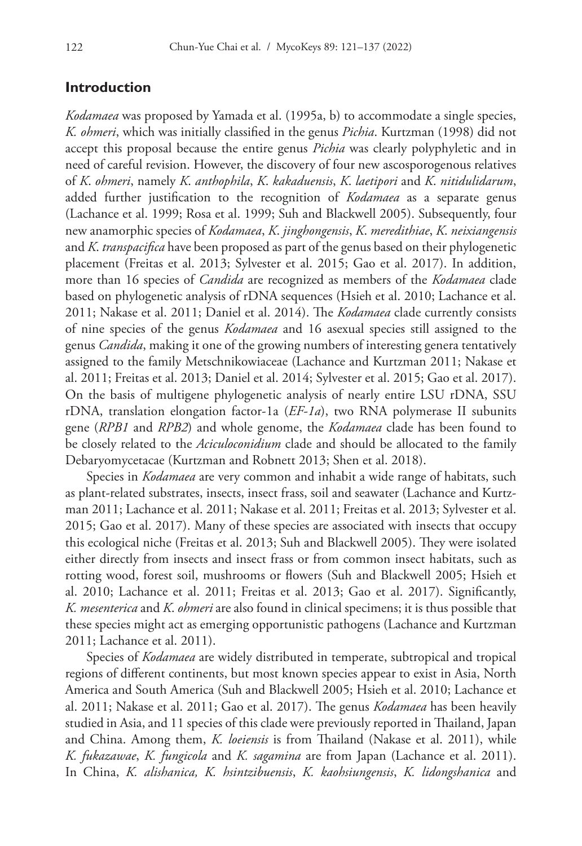#### **Introduction**

*Kodamaea* was proposed by Yamada et al. (1995a, b) to accommodate a single species, *K. ohmeri*, which was initially classified in the genus *Pichia*. Kurtzman (1998) did not accept this proposal because the entire genus *Pichia* was clearly polyphyletic and in need of careful revision. However, the discovery of four new ascosporogenous relatives of *K*. *ohmeri*, namely *K*. *anthophila*, *K*. *kakaduensis*, *K*. *laetipori* and *K*. *nitidulidarum*, added further justification to the recognition of *Kodamaea* as a separate genus (Lachance et al. 1999; Rosa et al. 1999; Suh and Blackwell 2005). Subsequently, four new anamorphic species of *Kodamaea*, *K*. *jinghongensis*, *K*. *meredithiae*, *K*. *neixiangensis* and *K*. *transpacifica* have been proposed as part of the genus based on their phylogenetic placement (Freitas et al. 2013; Sylvester et al. 2015; Gao et al. 2017). In addition, more than 16 species of *Candida* are recognized as members of the *Kodamaea* clade based on phylogenetic analysis of rDNA sequences (Hsieh et al. 2010; Lachance et al. 2011; Nakase et al. 2011; Daniel et al. 2014). The *Kodamaea* clade currently consists of nine species of the genus *Kodamaea* and 16 asexual species still assigned to the genus *Candida*, making it one of the growing numbers of interesting genera tentatively assigned to the family Metschnikowiaceae (Lachance and Kurtzman 2011; Nakase et al. 2011; Freitas et al. 2013; Daniel et al. 2014; Sylvester et al. 2015; Gao et al. 2017). On the basis of multigene phylogenetic analysis of nearly entire LSU rDNA, SSU rDNA, translation elongation factor-1a (*EF-1a*), two RNA polymerase II subunits gene (*RPB1* and *RPB2*) and whole genome, the *Kodamaea* clade has been found to be closely related to the *Aciculoconidium* clade and should be allocated to the family Debaryomycetacae (Kurtzman and Robnett 2013; Shen et al. 2018).

Species in *Kodamaea* are very common and inhabit a wide range of habitats, such as plant-related substrates, insects, insect frass, soil and seawater (Lachance and Kurtzman 2011; Lachance et al. 2011; Nakase et al. 2011; Freitas et al. 2013; Sylvester et al. 2015; Gao et al. 2017). Many of these species are associated with insects that occupy this ecological niche (Freitas et al. 2013; Suh and Blackwell 2005). They were isolated either directly from insects and insect frass or from common insect habitats, such as rotting wood, forest soil, mushrooms or flowers (Suh and Blackwell 2005; Hsieh et al. 2010; Lachance et al. 2011; Freitas et al. 2013; Gao et al. 2017). Significantly, *K. mesenterica* and *K*. *ohmeri* are also found in clinical specimens; it is thus possible that these species might act as emerging opportunistic pathogens (Lachance and Kurtzman 2011; Lachance et al. 2011).

Species of *Kodamaea* are widely distributed in temperate, subtropical and tropical regions of different continents, but most known species appear to exist in Asia, North America and South America (Suh and Blackwell 2005; Hsieh et al. 2010; Lachance et al. 2011; Nakase et al. 2011; Gao et al. 2017). The genus *Kodamaea* has been heavily studied in Asia, and 11 species of this clade were previously reported in Thailand, Japan and China. Among them, *K. loeiensis* is from Thailand (Nakase et al. 2011), while *K. fukazawae*, *K. fungicola* and *K. sagamina* are from Japan (Lachance et al. 2011). In China, *K. alishanica, K. hsintzibuensis*, *K. kaohsiungensis*, *K. lidongshanica* and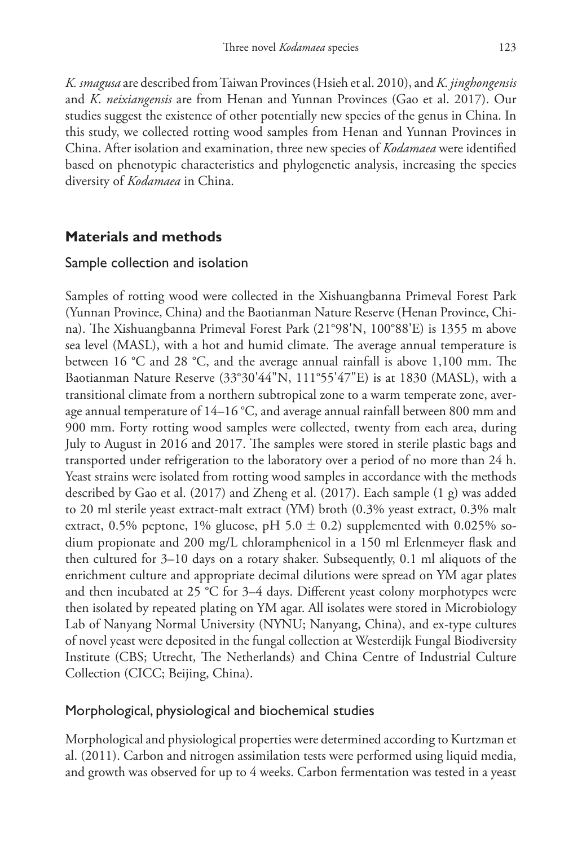*K. smagusa* are described from Taiwan Provinces (Hsieh et al. 2010), and *K*. *jinghongensis* and *K*. *neixiangensis* are from Henan and Yunnan Provinces (Gao et al. 2017). Our studies suggest the existence of other potentially new species of the genus in China. In this study, we collected rotting wood samples from Henan and Yunnan Provinces in China. After isolation and examination, three new species of *Kodamaea* were identified based on phenotypic characteristics and phylogenetic analysis, increasing the species diversity of *Kodamaea* in China.

## **Materials and methods**

#### Sample collection and isolation

Samples of rotting wood were collected in the Xishuangbanna Primeval Forest Park (Yunnan Province, China) and the Baotianman Nature Reserve (Henan Province, China). The Xishuangbanna Primeval Forest Park (21°98'N, 100°88'E) is 1355 m above sea level (MASL), with a hot and humid climate. The average annual temperature is between 16 °C and 28 °C, and the average annual rainfall is above 1,100 mm. The Baotianman Nature Reserve (33°30'44"N, 111°55'47"E) is at 1830 (MASL), with a transitional climate from a northern subtropical zone to a warm temperate zone, average annual temperature of 14–16 °C, and average annual rainfall between 800 mm and 900 mm. Forty rotting wood samples were collected, twenty from each area, during July to August in 2016 and 2017. The samples were stored in sterile plastic bags and transported under refrigeration to the laboratory over a period of no more than 24 h. Yeast strains were isolated from rotting wood samples in accordance with the methods described by Gao et al. (2017) and Zheng et al. (2017). Each sample (1 g) was added to 20 ml sterile yeast extract-malt extract (YM) broth (0.3% yeast extract, 0.3% malt extract, 0.5% peptone, 1% glucose, pH 5.0  $\pm$  0.2) supplemented with 0.025% sodium propionate and 200 mg/L chloramphenicol in a 150 ml Erlenmeyer flask and then cultured for 3–10 days on a rotary shaker. Subsequently, 0.1 ml aliquots of the enrichment culture and appropriate decimal dilutions were spread on YM agar plates and then incubated at 25 °C for 3–4 days. Different yeast colony morphotypes were then isolated by repeated plating on YM agar. All isolates were stored in Microbiology Lab of Nanyang Normal University (NYNU; Nanyang, China), and ex-type cultures of novel yeast were deposited in the fungal collection at Westerdijk Fungal Biodiversity Institute (CBS; Utrecht, The Netherlands) and China Centre of Industrial Culture Collection (CICC; Beijing, China).

## Morphological, physiological and biochemical studies

Morphological and physiological properties were determined according to Kurtzman et al. (2011). Carbon and nitrogen assimilation tests were performed using liquid media, and growth was observed for up to 4 weeks. Carbon fermentation was tested in a yeast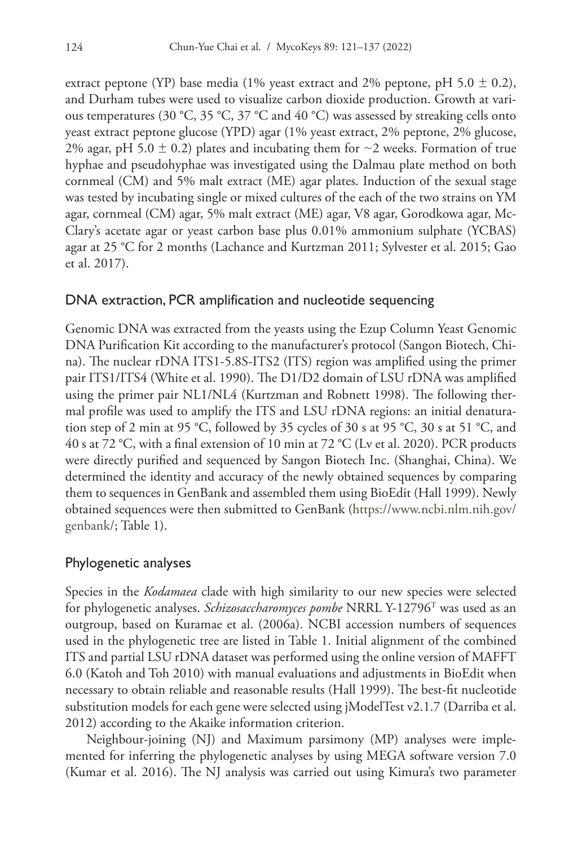extract peptone (YP) base media (1% yeast extract and 2% peptone, pH 5.0  $\pm$  0.2), and Durham tubes were used to visualize carbon dioxide production. Growth at various temperatures (30 °C, 35 °C, 37 °C and 40 °C) was assessed by streaking cells onto yeast extract peptone glucose (YPD) agar (1% yeast extract, 2% peptone, 2% glucose, 2% agar, pH 5.0  $\pm$  0.2) plates and incubating them for  $\sim$ 2 weeks. Formation of true hyphae and pseudohyphae was investigated using the Dalmau plate method on both cornmeal (CM) and 5% malt extract (ME) agar plates. Induction of the sexual stage was tested by incubating single or mixed cultures of the each of the two strains on YM agar, cornmeal (CM) agar, 5% malt extract (ME) agar, V8 agar, Gorodkowa agar, Mc-Clary's acetate agar or yeast carbon base plus 0.01% ammonium sulphate (YCBAS) agar at 25 °C for 2 months (Lachance and Kurtzman 2011; Sylvester et al. 2015; Gao et al. 2017).

#### DNA extraction, PCR amplification and nucleotide sequencing

Genomic DNA was extracted from the yeasts using the Ezup Column Yeast Genomic DNA Purification Kit according to the manufacturer's protocol (Sangon Biotech, China). The nuclear rDNA ITS1-5.8S-ITS2 (ITS) region was amplified using the primer pair ITS1/ITS4 (White et al. 1990). The D1/D2 domain of LSU rDNA was amplified using the primer pair NL1/NL4 (Kurtzman and Robnett 1998). The following thermal profile was used to amplify the ITS and LSU rDNA regions: an initial denaturation step of 2 min at 95 °C, followed by 35 cycles of 30 s at 95 °C, 30 s at 51 °C, and 40 s at 72 °C, with a final extension of 10 min at 72 °C (Lv et al. 2020). PCR products were directly purified and sequenced by Sangon Biotech Inc. (Shanghai, China). We determined the identity and accuracy of the newly obtained sequences by comparing them to sequences in GenBank and assembled them using BioEdit (Hall 1999). Newly obtained sequences were then submitted to GenBank [\(https://www.ncbi.nlm.nih.gov/](https://www.ncbi.nlm.nih.gov/genbank/) [genbank/](https://www.ncbi.nlm.nih.gov/genbank/); Table 1).

#### Phylogenetic analyses

Species in the *Kodamaea* clade with high similarity to our new species were selected for phylogenetic analyses. *Schizosaccharomyces pombe* NRRL Y-12796T was used as an outgroup, based on Kuramae et al. (2006a). NCBI accession numbers of sequences used in the phylogenetic tree are listed in Table 1. Initial alignment of the combined ITS and partial LSU rDNA dataset was performed using the online version of MAFFT 6.0 (Katoh and Toh 2010) with manual evaluations and adjustments in BioEdit when necessary to obtain reliable and reasonable results (Hall 1999). The best-fit nucleotide substitution models for each gene were selected using jModelTest v2.1.7 (Darriba et al. 2012) according to the Akaike information criterion.

Neighbour-joining (NJ) and Maximum parsimony (MP) analyses were implemented for inferring the phylogenetic analyses by using MEGA software version 7.0 (Kumar et al. 2016). The NJ analysis was carried out using Kimura's two parameter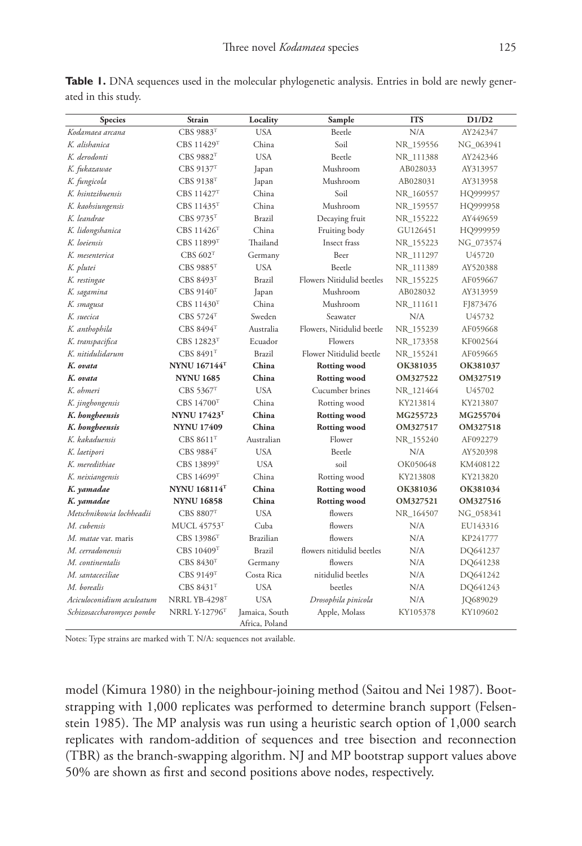| <b>Species</b>           | <b>Strain</b>          | Locality   | Sample                    | <b>ITS</b> | D1/D2     |
|--------------------------|------------------------|------------|---------------------------|------------|-----------|
| Kodamaea arcana          | CBS 9883T              | <b>USA</b> | Beetle                    | N/A        | AY242347  |
| K. alishanica            | CBS 11429T             | China      | Soil                      | NR 159556  | NG 063941 |
| K. derodonti             | CBS 9882 <sup>T</sup>  | <b>USA</b> | Beetle                    | NR_111388  | AY242346  |
| K. fukazawae             | CBS 9137T              | Japan      | Mushroom                  | AB028033   | AY313957  |
| K. fungicola             | CBS 9138T              | Japan      | Mushroom                  | AB028031   | AY313958  |
| K. hsintzibuensis        | CBS 11427 <sup>T</sup> | China      | Soil                      | NR_160557  | HQ999957  |
| K. kaohsiungensis        | CBS 11435 <sup>T</sup> | China      | Mushroom                  | NR_159557  | HQ999958  |
| K. leandrae              | CBS 9735T              | Brazil     | Decaying fruit            | NR_155222  | AY449659  |
| K. lidongshanica         | CBS 11426 <sup>T</sup> | China      | Fruiting body             | GU126451   | HQ999959  |
| K. loeiensis             | CBS 11899 <sup>T</sup> | Thailand   | Insect frass              | NR_155223  | NG_073574 |
| K. mesenterica           | $CBS$ 602 <sup>T</sup> | Germany    | Beer                      | NR_111297  | U45720    |
| K. plutei                | <b>CBS 9885T</b>       | <b>USA</b> | Beetle                    | NR_111389  | AY520388  |
| K. restingae             | CBS 8493 <sup>T</sup>  | Brazil     | Flowers Nitidulid beetles | NR 155225  | AF059667  |
| K. sagamina              | CBS 9140 <sup>T</sup>  | Japan      | Mushroom                  | AB028032   | AY313959  |
| K. smagusa               | CBS 11430 <sup>T</sup> | China      | Mushroom                  | NR 111611  | FJ873476  |
| K. suecica               | CBS 5724T              | Sweden     | Seawater                  | N/A        | U45732    |
| K. anthophila            | CBS 8494T              | Australia  | Flowers, Nitidulid beetle | NR 155239  | AF059668  |
| K. transpacifica         | CBS 12823 <sup>T</sup> | Ecuador    | Flowers                   | NR_173358  | KF002564  |
| K. nitidulidarum         | CBS 8491 <sup>T</sup>  | Brazil     | Flower Nitidulid beetle   | NR 155241  | AF059665  |
| K. ovata                 | <b>NYNU 167144T</b>    | China      | <b>Rotting wood</b>       | OK381035   | OK381037  |
| K. ovata                 | <b>NYNU 1685</b>       | China      | <b>Rotting wood</b>       | OM327522   | OM327519  |
| K. ohmeri                | CBS 5367T              | <b>USA</b> | Cucumber brines           | NR 121464  | U45702    |
| K. jinghongensis         | <b>CBS 14700T</b>      | China      | Rotting wood              | KY213814   | KY213807  |
| K. hongheensis           | <b>NYNU 17423T</b>     | China      | <b>Rotting wood</b>       | MG255723   | MG255704  |
| K. hongheensis           | <b>NYNU 17409</b>      | China      | <b>Rotting wood</b>       | OM327517   | OM327518  |
| K. kakaduensis           | CBS 8611 <sup>T</sup>  | Australian | Flower                    | NR_155240  | AF092279  |
| K. laetipori             | CBS 9884T              | <b>USA</b> | Beetle                    | N/A        | AY520398  |
| K. meredithiae           | CBS 13899T             | <b>USA</b> | soil                      | OK050648   | KM408122  |
| K. neixiangensis         | CBS 14699T             | China      | Rotting wood              | KY213808   | KY213820  |
| K. yamadae               | <b>NYNU 168114T</b>    | China      | <b>Rotting wood</b>       | OK381036   | OK381034  |
| K. yamadae               | <b>NYNU 16858</b>      | China      | <b>Rotting wood</b>       | OM327521   | OM327516  |
| Metschnikowia lochheadii | CBS 8807T              | <b>USA</b> | flowers                   | NR_164507  | NG_058341 |
| M. cubensis              | <b>MUCL 45753T</b>     | Cuba       | flowers                   | N/A        | EU143316  |
| M. matae var. maris      | CBS 13986 <sup>T</sup> | Brazilian  | flowers                   | N/A        | KP241777  |
| M. cerradonensis         | CBS 10409 <sup>T</sup> | Brazil     | flowers nitidulid beetles | N/A        | DO641237  |

**Table 1.** DNA sequences used in the molecular phylogenetic analysis. Entries in bold are newly generated in this study.

Notes: Type strains are marked with T. N/A: sequences not available.

*Schizosaccharomyces pombe* NRRL Y-12796T Jamaica, South

model (Kimura 1980) in the neighbour-joining method (Saitou and Nei 1987). Bootstrapping with 1,000 replicates was performed to determine branch support (Felsenstein 1985). The MP analysis was run using a heuristic search option of 1,000 search replicates with random-addition of sequences and tree bisection and reconnection (TBR) as the branch-swapping algorithm. NJ and MP bootstrap support values above 50% are shown as first and second positions above nodes, respectively.

*M. continentalis* CBS 8430T Germany flowers N/A [DQ641238](http://www.ncbi.nlm.nih.gov/nuccore/DQ641238) *M. santaceciliae* CBS 9149T Costa Rica nitidulid beetles N/A [DQ641242](http://www.ncbi.nlm.nih.gov/nuccore/DQ641242) *M. borealis* CBS 8431T USA beetles N/A [DQ641243](http://www.ncbi.nlm.nih.gov/nuccore/DQ641243) *Aciculoconidium aculeatum* NRRL YB-4298T USA *Drosophila pinicola* N/A [JQ689029](http://www.ncbi.nlm.nih.gov/nuccore/JQ689029)

Apple, Molass [KY105378](http://www.ncbi.nlm.nih.gov/nuccore/KY105378) [KY109602](http://www.ncbi.nlm.nih.gov/nuccore/KY109602)

Africa, Poland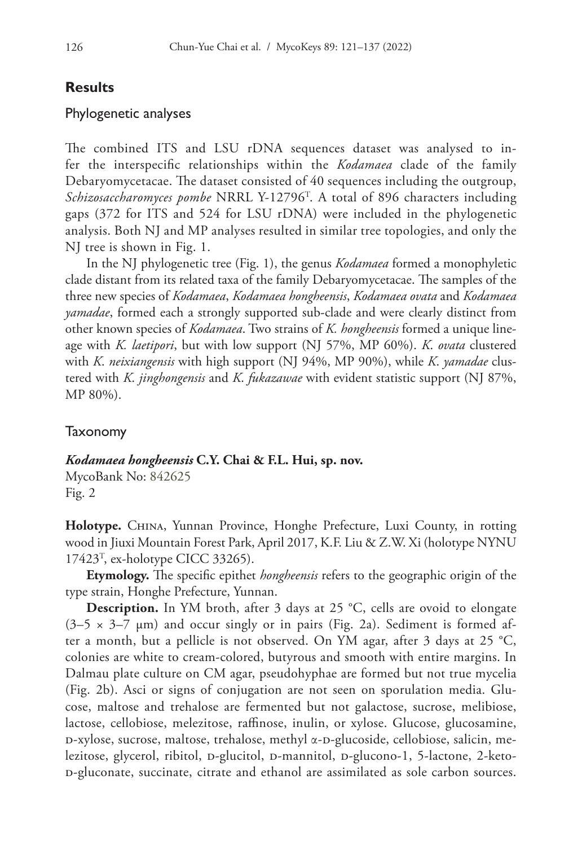#### **Results**

#### Phylogenetic analyses

The combined ITS and LSU rDNA sequences dataset was analysed to infer the interspecific relationships within the *Kodamaea* clade of the family Debaryomycetacae. The dataset consisted of 40 sequences including the outgroup, *Schizosaccharomyces pombe* NRRL Y-12796T . A total of 896 characters including gaps (372 for ITS and 524 for LSU rDNA) were included in the phylogenetic analysis. Both NJ and MP analyses resulted in similar tree topologies, and only the NJ tree is shown in Fig. 1.

In the NJ phylogenetic tree (Fig. 1), the genus *Kodamaea* formed a monophyletic clade distant from its related taxa of the family Debaryomycetacae. The samples of the three new species of *Kodamaea*, *Kodamaea hongheensis*, *Kodamaea ovata* and *Kodamaea yamadae*, formed each a strongly supported sub-clade and were clearly distinct from other known species of *Kodamaea*. Two strains of *K. hongheensis* formed a unique lineage with *K. laetipori*, but with low support (NJ 57%, MP 60%). *K*. *ovata* clustered with *K*. *neixiangensis* with high support (NJ 94%, MP 90%), while *K*. *yamadae* clustered with *K*. *jinghongensis* and *K*. *fukazawae* with evident statistic support (NJ 87%, MP 80%).

#### Taxonomy

*Kodamaea hongheensis* **C.Y. Chai & F.L. Hui, sp. nov.**

MycoBank No: [842625](http://www.mycobank.org/MycoTaxo.aspx?Link=T&Rec=842625) Fig. 2

**Holotype.** China, Yunnan Province, Honghe Prefecture, Luxi County, in rotting wood in Jiuxi Mountain Forest Park, April 2017, K.F. Liu & Z.W. Xi (holotype NYNU 17423T , ex-holotype CICC 33265).

**Etymology.** The specific epithet *hongheensis* refers to the geographic origin of the type strain, Honghe Prefecture, Yunnan.

**Description.** In YM broth, after 3 days at 25 °C, cells are ovoid to elongate  $(3-5 \times 3-7 \mu m)$  and occur singly or in pairs (Fig. 2a). Sediment is formed after a month, but a pellicle is not observed. On YM agar, after 3 days at 25 °C, colonies are white to cream-colored, butyrous and smooth with entire margins. In Dalmau plate culture on CM agar, pseudohyphae are formed but not true mycelia (Fig. 2b). Asci or signs of conjugation are not seen on sporulation media. Glucose, maltose and trehalose are fermented but not galactose, sucrose, melibiose, lactose, cellobiose, melezitose, raffinose, inulin, or xylose. Glucose, glucosamine,  $D$ -xylose, sucrose, maltose, trehalose, methyl  $\alpha$ - $D$ -glucoside, cellobiose, salicin, melezitose, glycerol, ribitol, p-glucitol, p-mannitol, p-glucono-1, 5-lactone, 2-ketod-gluconate, succinate, citrate and ethanol are assimilated as sole carbon sources.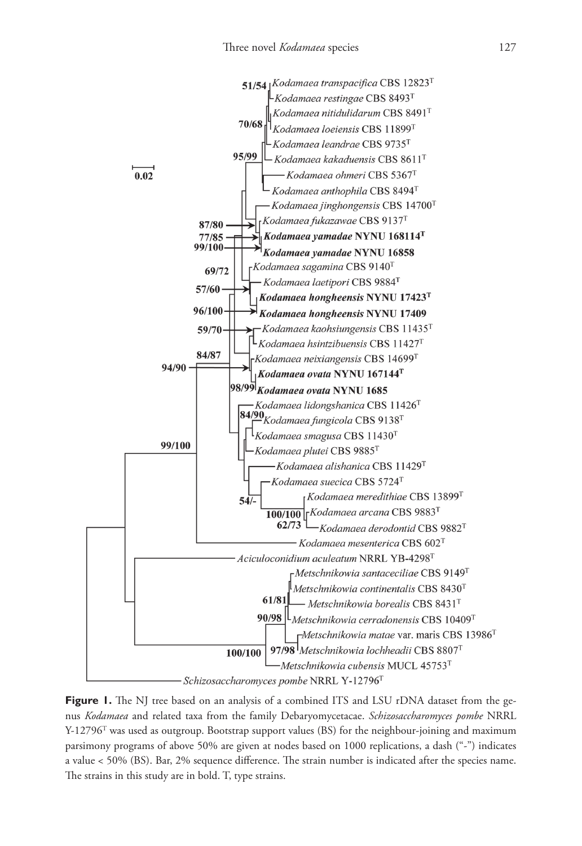

Figure 1. The NJ tree based on an analysis of a combined ITS and LSU rDNA dataset from the genus *Kodamaea* and related taxa from the family Debaryomycetacae. *Schizosaccharomyces pombe* NRRL  $Y-12796$ <sup>T</sup> was used as outgroup. Bootstrap support values (BS) for the neighbour-joining and maximum parsimony programs of above 50% are given at nodes based on 1000 replications, a dash ("-") indicates a value < 50% (BS). Bar, 2% sequence difference. The strain number is indicated after the species name. The strains in this study are in bold. T, type strains.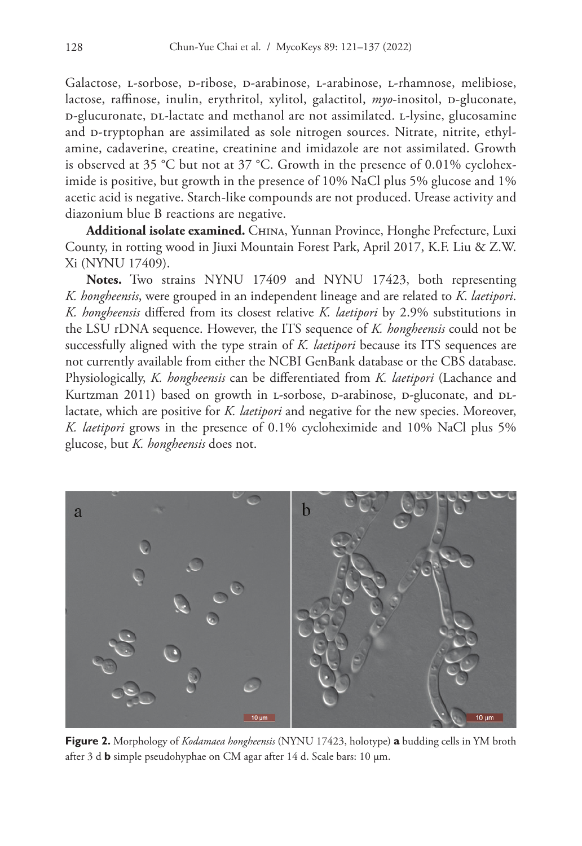Galactose, l-sorbose, d-ribose, d-arabinose, l-arabinose, l-rhamnose, melibiose, lactose, raffinose, inulin, erythritol, xylitol, galactitol, *myo*-inositol, D-gluconate, d-glucuronate, dl-lactate and methanol are not assimilated. l-lysine, glucosamine and D-tryptophan are assimilated as sole nitrogen sources. Nitrate, nitrite, ethylamine, cadaverine, creatine, creatinine and imidazole are not assimilated. Growth is observed at 35 °C but not at 37 °C. Growth in the presence of 0.01% cycloheximide is positive, but growth in the presence of 10% NaCl plus 5% glucose and 1% acetic acid is negative. Starch-like compounds are not produced. Urease activity and diazonium blue B reactions are negative.

**Additional isolate examined.** China, Yunnan Province, Honghe Prefecture, Luxi County, in rotting wood in Jiuxi Mountain Forest Park, April 2017, K.F. Liu & Z.W. Xi (NYNU 17409).

**Notes.** Two strains NYNU 17409 and NYNU 17423, both representing *K. hongheensis*, were grouped in an independent lineage and are related to *K*. *laetipori*. *K. hongheensis* differed from its closest relative *K. laetipori* by 2.9% substitutions in the LSU rDNA sequence. However, the ITS sequence of *K. hongheensis* could not be successfully aligned with the type strain of *K. laetipori* because its ITS sequences are not currently available from either the NCBI GenBank database or the CBS database. Physiologically, *K. hongheensis* can be differentiated from *K. laetipori* (Lachance and Kurtzman 2011) based on growth in L-sorbose, D-arabinose, D-gluconate, and DLlactate, which are positive for *K. laetipori* and negative for the new species. Moreover, *K. laetipori* grows in the presence of 0.1% cycloheximide and 10% NaCl plus 5% glucose, but *K. hongheensis* does not.



**Figure 2.** Morphology of *Kodamaea hongheensis* (NYNU 17423, holotype) **a** budding cells in YM broth after 3 d **b** simple pseudohyphae on CM agar after 14 d. Scale bars: 10 μm.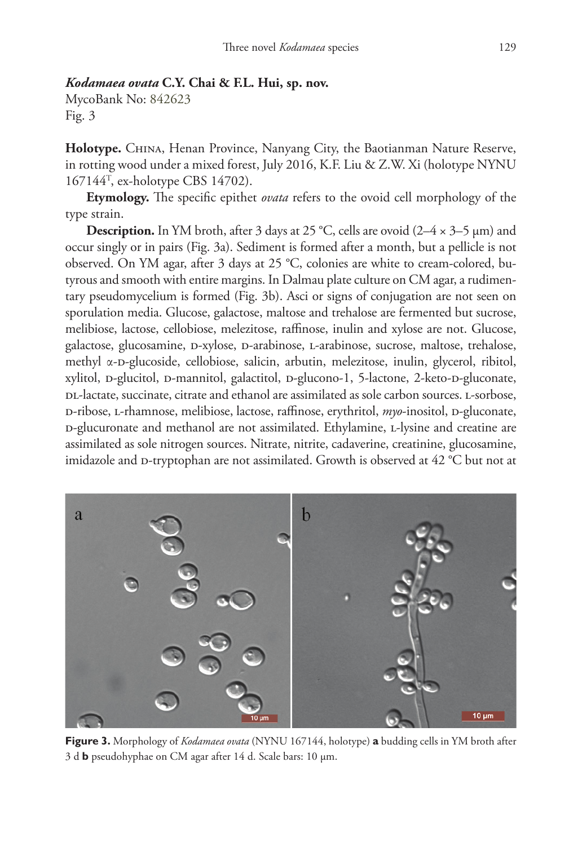#### *Kodamaea ovata* **C.Y. Chai & F.L. Hui, sp. nov.**

MycoBank No: [842623](http://www.mycobank.org/MycoTaxo.aspx?Link=T&Rec=842623) Fig. 3

**Holotype.** China, Henan Province, Nanyang City, the Baotianman Nature Reserve, in rotting wood under a mixed forest, July 2016, K.F. Liu & Z.W. Xi (holotype NYNU 167144T , ex-holotype CBS 14702).

**Etymology.** The specific epithet *ovata* refers to the ovoid cell morphology of the type strain.

**Description.** In YM broth, after 3 days at 25 °C, cells are ovoid (2–4 × 3–5 μm) and occur singly or in pairs (Fig. 3a). Sediment is formed after a month, but a pellicle is not observed. On YM agar, after 3 days at 25 °C, colonies are white to cream-colored, butyrous and smooth with entire margins. In Dalmau plate culture on CM agar, a rudimentary pseudomycelium is formed (Fig. 3b). Asci or signs of conjugation are not seen on sporulation media. Glucose, galactose, maltose and trehalose are fermented but sucrose, melibiose, lactose, cellobiose, melezitose, raffinose, inulin and xylose are not. Glucose, galactose, glucosamine, d-xylose, d-arabinose, l-arabinose, sucrose, maltose, trehalose, methyl  $\alpha$ -D-glucoside, cellobiose, salicin, arbutin, melezitose, inulin, glycerol, ribitol, xylitol, p-glucitol, p-mannitol, galactitol, p-glucono-1, 5-lactone, 2-keto-p-gluconate, DL-lactate, succinate, citrate and ethanol are assimilated as sole carbon sources. L-sorbose, p-ribose, L-rhamnose, melibiose, lactose, raffinose, erythritol, *myo*-inositol, p-gluconate, d-glucuronate and methanol are not assimilated. Ethylamine, l-lysine and creatine are assimilated as sole nitrogen sources. Nitrate, nitrite, cadaverine, creatinine, glucosamine, imidazole and p-tryptophan are not assimilated. Growth is observed at  $42 \degree C$  but not at



**Figure 3.** Morphology of *Kodamaea ovata* (NYNU 167144, holotype) **a** budding cells in YM broth after 3 d **b** pseudohyphae on CM agar after 14 d. Scale bars: 10 μm.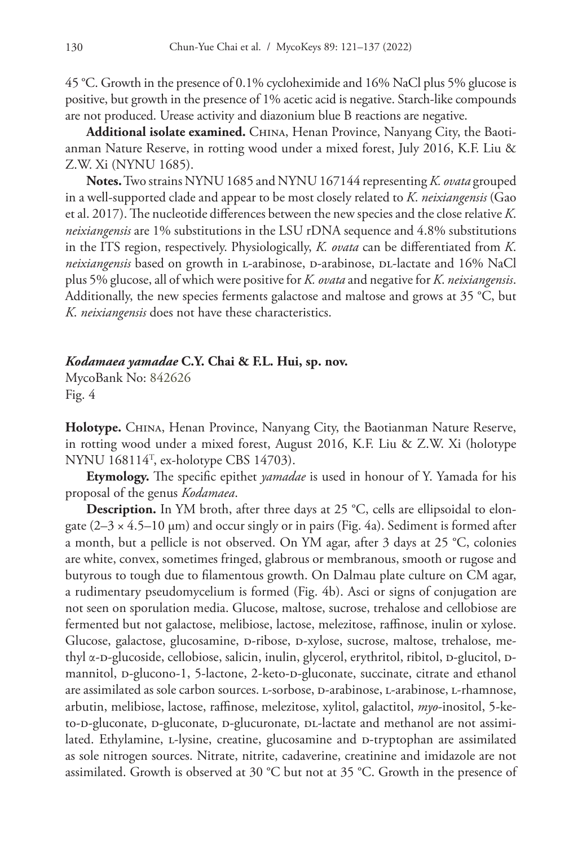45 °C. Growth in the presence of 0.1% cycloheximide and 16% NaCl plus 5% glucose is positive, but growth in the presence of 1% acetic acid is negative. Starch-like compounds are not produced. Urease activity and diazonium blue B reactions are negative.

Additional isolate examined. CHINA, Henan Province, Nanyang City, the Baotianman Nature Reserve, in rotting wood under a mixed forest, July 2016, K.F. Liu & Z.W. Xi (NYNU 1685).

**Notes.** Two strains NYNU 1685 and NYNU 167144 representing *K. ovata* grouped in a well-supported clade and appear to be most closely related to *K*. *neixiangensis* (Gao et al. 2017). The nucleotide differences between the new species and the close relative *K*. *neixiangensis* are 1% substitutions in the LSU rDNA sequence and 4.8% substitutions in the ITS region, respectively. Physiologically, *K. ovata* can be differentiated from *K*. *neixiangensis* based on growth in L-arabinose, D-arabinose, DL-lactate and 16% NaCl plus 5% glucose, all of which were positive for *K. ovata* and negative for *K*. *neixiangensis*. Additionally, the new species ferments galactose and maltose and grows at 35 °C, but *K*. *neixiangensis* does not have these characteristics.

### *Kodamaea yamadae* **C.Y. Chai & F.L. Hui, sp. nov.**

MycoBank No: [842626](http://www.mycobank.org/MycoTaxo.aspx?Link=T&Rec=842626) Fig. 4

**Holotype.** China, Henan Province, Nanyang City, the Baotianman Nature Reserve, in rotting wood under a mixed forest, August 2016, K.F. Liu & Z.W. Xi (holotype NYNU 168114T , ex-holotype CBS 14703).

**Etymology.** The specific epithet *yamadae* is used in honour of Y. Yamada for his proposal of the genus *Kodamaea*.

**Description.** In YM broth, after three days at 25 °C, cells are ellipsoidal to elongate  $(2-3 \times 4.5-10 \mu m)$  and occur singly or in pairs (Fig. 4a). Sediment is formed after a month, but a pellicle is not observed. On YM agar, after 3 days at 25 °C, colonies are white, convex, sometimes fringed, glabrous or membranous, smooth or rugose and butyrous to tough due to filamentous growth. On Dalmau plate culture on CM agar, a rudimentary pseudomycelium is formed (Fig. 4b). Asci or signs of conjugation are not seen on sporulation media. Glucose, maltose, sucrose, trehalose and cellobiose are fermented but not galactose, melibiose, lactose, melezitose, raffinose, inulin or xylose. Glucose, galactose, glucosamine, p-ribose, p-xylose, sucrose, maltose, trehalose, methyl α-D-glucoside, cellobiose, salicin, inulin, glycerol, erythritol, ribitol, D-glucitol, Dmannitol, p-glucono-1, 5-lactone, 2-keto-p-gluconate, succinate, citrate and ethanol are assimilated as sole carbon sources. l-sorbose, d-arabinose, l-arabinose, l-rhamnose, arbutin, melibiose, lactose, raffinose, melezitose, xylitol, galactitol, *myo*-inositol, 5-keto-D-gluconate, D-gluconate, D-glucuronate, DL-lactate and methanol are not assimilated. Ethylamine, L-lysine, creatine, glucosamine and D-tryptophan are assimilated as sole nitrogen sources. Nitrate, nitrite, cadaverine, creatinine and imidazole are not assimilated. Growth is observed at 30 °C but not at 35 °C. Growth in the presence of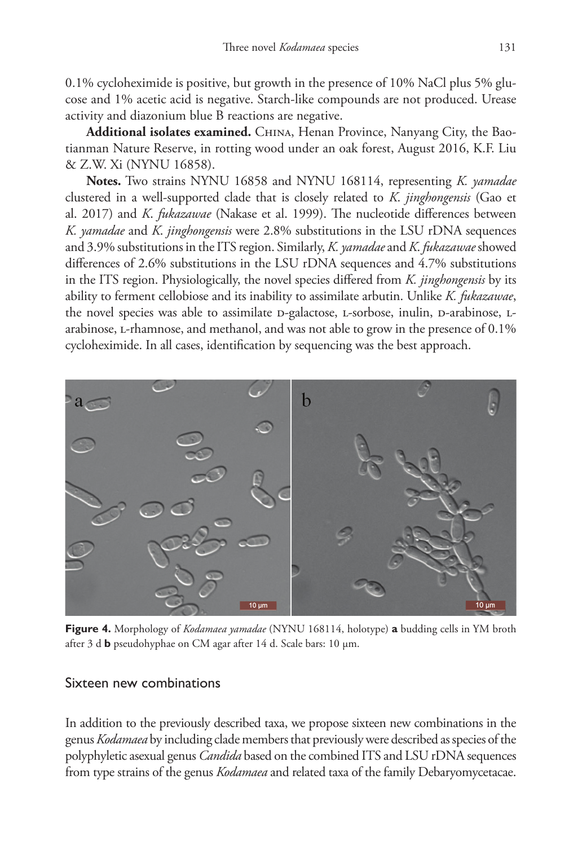0.1% cycloheximide is positive, but growth in the presence of 10% NaCl plus 5% glucose and 1% acetic acid is negative. Starch-like compounds are not produced. Urease activity and diazonium blue B reactions are negative.

Additional isolates examined. CHINA, Henan Province, Nanyang City, the Baotianman Nature Reserve, in rotting wood under an oak forest, August 2016, K.F. Liu & Z.W. Xi (NYNU 16858).

**Notes.** Two strains NYNU 16858 and NYNU 168114, representing *K. yamadae* clustered in a well-supported clade that is closely related to *K*. *jinghongensis* (Gao et al. 2017) and *K*. *fukazawae* (Nakase et al. 1999). The nucleotide differences between *K. yamadae* and *K*. *jinghongensis* were 2.8% substitutions in the LSU rDNA sequences and 3.9% substitutions in the ITS region. Similarly, *K. yamadae* and *K*. *fukazawae* showed differences of 2.6% substitutions in the LSU rDNA sequences and 4.7% substitutions in the ITS region. Physiologically, the novel species differed from *K. jinghongensis* by its ability to ferment cellobiose and its inability to assimilate arbutin. Unlike *K. fukazawae*, the novel species was able to assimilate D-galactose, L-sorbose, inulin, D-arabinose, Larabinose, l-rhamnose, and methanol, and was not able to grow in the presence of 0.1% cycloheximide. In all cases, identification by sequencing was the best approach.



**Figure 4.** Morphology of *Kodamaea yamadae* (NYNU 168114, holotype) **a** budding cells in YM broth after 3 d **b** pseudohyphae on CM agar after 14 d. Scale bars: 10 μm.

### Sixteen new combinations

In addition to the previously described taxa, we propose sixteen new combinations in the genus *Kodamaea* by including clade members that previously were described as species of the polyphyletic asexual genus *Candida* based on the combined ITS and LSU rDNA sequences from type strains of the genus *Kodamaea* and related taxa of the family Debaryomycetacae.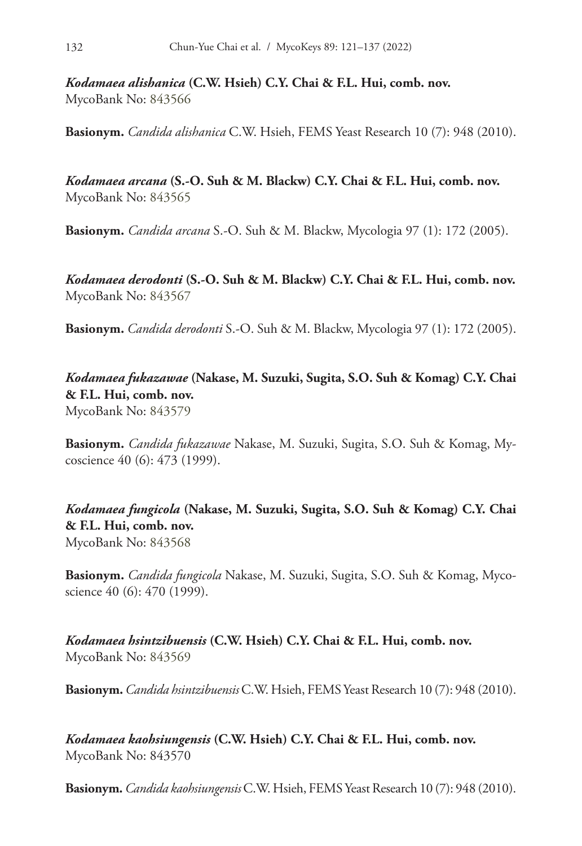*Kodamaea alishanica* **(C.W. Hsieh) C.Y. Chai & F.L. Hui, comb. nov.** MycoBank No: [843566](http://www.mycobank.org/MycoTaxo.aspx?Link=T&Rec=843566)

**Basionym.** *Candida alishanica* C.W. Hsieh, FEMS Yeast Research 10 (7): 948 (2010).

*Kodamaea arcana* **(S.-O. Suh & M. Blackw) C.Y. Chai & F.L. Hui, comb. nov.** MycoBank No: [843565](http://www.mycobank.org/MycoTaxo.aspx?Link=T&Rec=843565)

**Basionym.** *Candida arcana* S.-O. Suh & M. Blackw, Mycologia 97 (1): 172 (2005).

*Kodamaea derodonti* **(S.-O. Suh & M. Blackw) C.Y. Chai & F.L. Hui, comb. nov.** MycoBank No: [843567](http://www.mycobank.org/MycoTaxo.aspx?Link=T&Rec=843567)

**Basionym.** *Candida derodonti* S.-O. Suh & M. Blackw, Mycologia 97 (1): 172 (2005).

*Kodamaea fukazawae* **(Nakase, M. Suzuki, Sugita, S.O. Suh & Komag) C.Y. Chai & F.L. Hui, comb. nov.** MycoBank No: [843579](http://www.mycobank.org/MycoTaxo.aspx?Link=T&Rec=843579)

**Basionym.** *Candida fukazawae* Nakase, M. Suzuki, Sugita, S.O. Suh & Komag, Mycoscience 40 (6): 473 (1999).

*Kodamaea fungicola* **(Nakase, M. Suzuki, Sugita, S.O. Suh & Komag) C.Y. Chai & F.L. Hui, comb. nov.** MycoBank No: [843568](http://www.mycobank.org/MycoTaxo.aspx?Link=T&Rec=843568)

**Basionym.** *Candida fungicola* Nakase, M. Suzuki, Sugita, S.O. Suh & Komag, Mycoscience 40 (6): 470 (1999).

*Kodamaea hsintzibuensis* **(C.W. Hsieh) C.Y. Chai & F.L. Hui, comb. nov.** MycoBank No: [843569](http://www.mycobank.org/MycoTaxo.aspx?Link=T&Rec=843569)

**Basionym.***Candida hsintzibuensis* C.W. Hsieh, FEMS Yeast Research 10 (7): 948 (2010).

*Kodamaea kaohsiungensis* **(C.W. Hsieh) C.Y. Chai & F.L. Hui, comb. nov.** MycoBank No: [843570](http://www.mycobank.org/MycoTaxo.aspx?Link=T&Rec=843570)

**Basionym.***Candida kaohsiungensis* C.W. Hsieh, FEMS Yeast Research 10 (7): 948 (2010).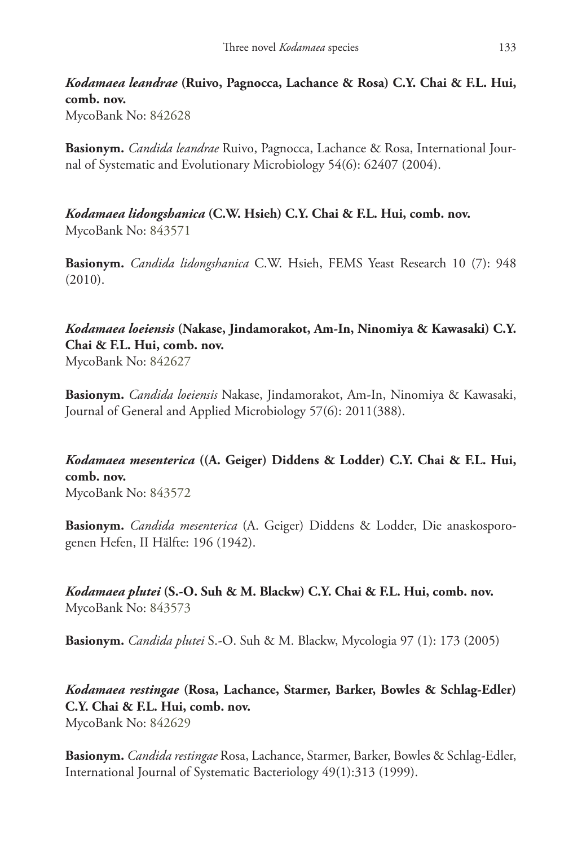*Kodamaea leandrae* **(Ruivo, Pagnocca, Lachance & Rosa) C.Y. Chai & F.L. Hui, comb. nov.** MycoBank No: [842628](http://www.mycobank.org/MycoTaxo.aspx?Link=T&Rec=842628)

**Basionym.** *Candida leandrae* Ruivo, Pagnocca, Lachance & Rosa, International Journal of Systematic and Evolutionary Microbiology 54(6): 62407 (2004).

*Kodamaea lidongshanica* **(C.W. Hsieh) C.Y. Chai & F.L. Hui, comb. nov.** MycoBank No: [843571](http://www.mycobank.org/MycoTaxo.aspx?Link=T&Rec=843571)

**Basionym.** *Candida lidongshanica* C.W. Hsieh, FEMS Yeast Research 10 (7): 948 (2010).

## *Kodamaea loeiensis* **(Nakase, Jindamorakot, Am-In, Ninomiya & Kawasaki) C.Y. Chai & F.L. Hui, comb. nov.**

MycoBank No: [842627](http://www.mycobank.org/MycoTaxo.aspx?Link=T&Rec=842627)

**Basionym.** *Candida loeiensis* Nakase, Jindamorakot, Am-In, Ninomiya & Kawasaki, Journal of General and Applied Microbiology 57(6): 2011(388).

# *Kodamaea mesenterica* **((A. Geiger) Diddens & Lodder) C.Y. Chai & F.L. Hui, comb. nov.**

MycoBank No: [843572](http://www.mycobank.org/MycoTaxo.aspx?Link=T&Rec=843572)

**Basionym.** *Candida mesenterica* (A. Geiger) Diddens & Lodder, Die anaskosporogenen Hefen, II Hälfte: 196 (1942).

*Kodamaea plutei* **(S.-O. Suh & M. Blackw) C.Y. Chai & F.L. Hui, comb. nov.** MycoBank No: [843573](http://www.mycobank.org/MycoTaxo.aspx?Link=T&Rec=843573)

**Basionym.** *Candida plutei* S.-O. Suh & M. Blackw, Mycologia 97 (1): 173 (2005)

*Kodamaea restingae* **(Rosa, Lachance, Starmer, Barker, Bowles & Schlag-Edler) C.Y. Chai & F.L. Hui, comb. nov.** MycoBank No: [842629](http://www.mycobank.org/MycoTaxo.aspx?Link=T&Rec=842629)

**Basionym.** *Candida restingae* Rosa, Lachance, Starmer, Barker, Bowles & Schlag-Edler, International Journal of Systematic Bacteriology 49(1):313 (1999).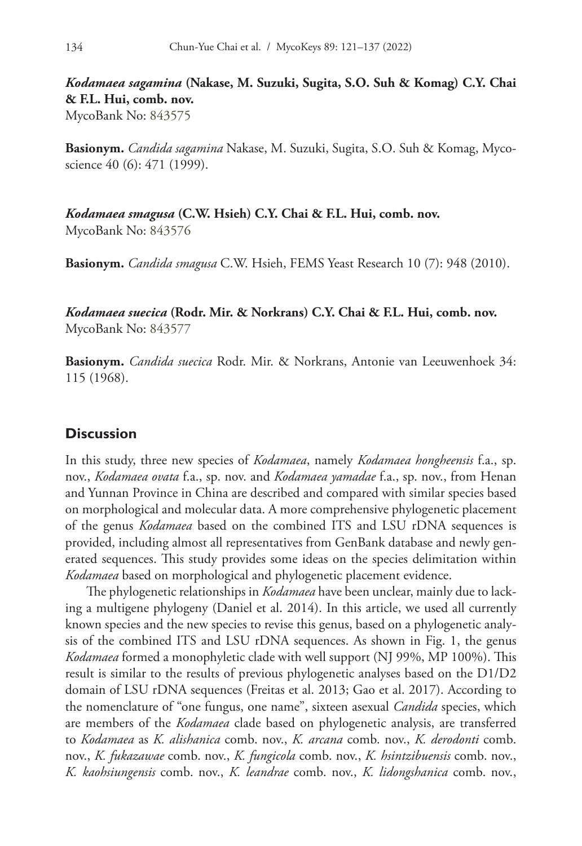*Kodamaea sagamina* **(Nakase, M. Suzuki, Sugita, S.O. Suh & Komag) C.Y. Chai & F.L. Hui, comb. nov.**

MycoBank No: [843575](http://www.mycobank.org/MycoTaxo.aspx?Link=T&Rec=843575)

**Basionym.** *Candida sagamina* Nakase, M. Suzuki, Sugita, S.O. Suh & Komag, Mycoscience 40 (6): 471 (1999).

*Kodamaea smagusa* **(C.W. Hsieh) C.Y. Chai & F.L. Hui, comb. nov.** MycoBank No: [843576](http://www.mycobank.org/MycoTaxo.aspx?Link=T&Rec=843576)

**Basionym.** *Candida smagusa* C.W. Hsieh, FEMS Yeast Research 10 (7): 948 (2010).

*Kodamaea suecica* **(Rodr. Mir. & Norkrans) C.Y. Chai & F.L. Hui, comb. nov.** MycoBank No: [843577](http://www.mycobank.org/MycoTaxo.aspx?Link=T&Rec=843577)

**Basionym.** *Candida suecica* Rodr. Mir. & Norkrans, Antonie van Leeuwenhoek 34: 115 (1968).

#### **Discussion**

In this study, three new species of *Kodamaea*, namely *Kodamaea hongheensis* f.a., sp. nov., *Kodamaea ovata* f.a., sp. nov. and *Kodamaea yamadae* f.a., sp. nov., from Henan and Yunnan Province in China are described and compared with similar species based on morphological and molecular data. A more comprehensive phylogenetic placement of the genus *Kodamaea* based on the combined ITS and LSU rDNA sequences is provided, including almost all representatives from GenBank database and newly generated sequences. This study provides some ideas on the species delimitation within *Kodamaea* based on morphological and phylogenetic placement evidence.

The phylogenetic relationships in *Kodamaea* have been unclear, mainly due to lacking a multigene phylogeny (Daniel et al. 2014). In this article, we used all currently known species and the new species to revise this genus, based on a phylogenetic analysis of the combined ITS and LSU rDNA sequences. As shown in Fig. 1, the genus *Kodamaea* formed a monophyletic clade with well support (NJ 99%, MP 100%). This result is similar to the results of previous phylogenetic analyses based on the D1/D2 domain of LSU rDNA sequences (Freitas et al. 2013; Gao et al. 2017). According to the nomenclature of "one fungus, one name", sixteen asexual *Candida* species, which are members of the *Kodamaea* clade based on phylogenetic analysis, are transferred to *Kodamaea* as *K. alishanica* comb. nov., *K. arcana* comb. nov., *K. derodonti* comb. nov., *K. fukazawae* comb. nov., *K. fungicola* comb. nov., *K. hsintzibuensis* comb. nov., *K. kaohsiungensis* comb. nov., *K. leandrae* comb. nov., *K. lidongshanica* comb. nov.,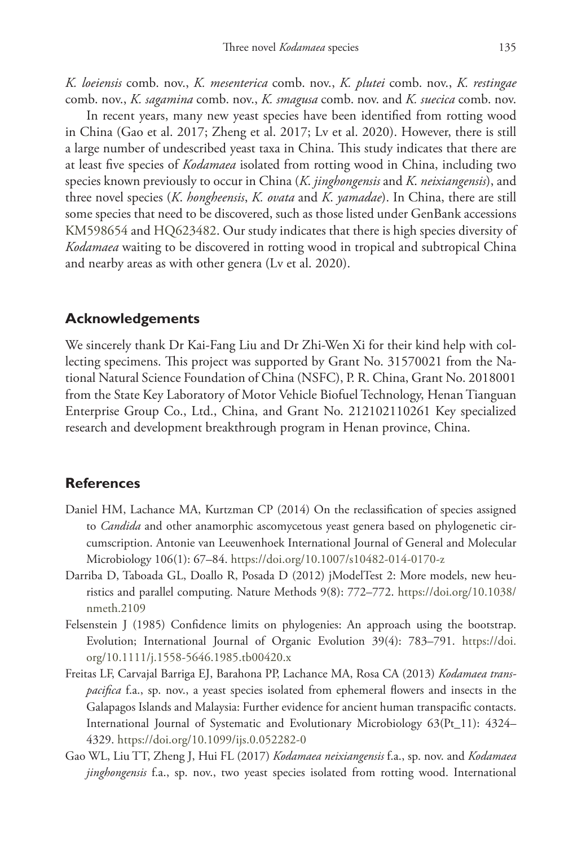*K. loeiensis* comb. nov., *K. mesenterica* comb. nov., *K. plutei* comb. nov., *K. restingae* comb. nov., *K. sagamina* comb. nov., *K. smagusa* comb. nov. and *K. suecica* comb. nov.

In recent years, many new yeast species have been identified from rotting wood in China (Gao et al. 2017; Zheng et al. 2017; Lv et al. 2020). However, there is still a large number of undescribed yeast taxa in China. This study indicates that there are at least five species of *Kodamaea* isolated from rotting wood in China, including two species known previously to occur in China (*K*. *jinghongensis* and *K*. *neixiangensis*), and three novel species (*K*. *hongheensis*, *K. ovata* and *K*. *yamadae*). In China, there are still some species that need to be discovered, such as those listed under GenBank accessions [KM598654](http://www.ncbi.nlm.nih.gov/nuccore/KM598654) and [HQ623482](http://www.ncbi.nlm.nih.gov/nuccore/HQ623482). Our study indicates that there is high species diversity of *Kodamaea* waiting to be discovered in rotting wood in tropical and subtropical China and nearby areas as with other genera (Lv et al. 2020).

#### **Acknowledgements**

We sincerely thank Dr Kai-Fang Liu and Dr Zhi-Wen Xi for their kind help with collecting specimens. This project was supported by Grant No. 31570021 from the National Natural Science Foundation of China (NSFC), P. R. China, Grant No. 2018001 from the State Key Laboratory of Motor Vehicle Biofuel Technology, Henan Tianguan Enterprise Group Co., Ltd., China, and Grant No. 212102110261 Key specialized research and development breakthrough program in Henan province, China.

#### **References**

- Daniel HM, Lachance MA, Kurtzman CP (2014) On the reclassification of species assigned to *Candida* and other anamorphic ascomycetous yeast genera based on phylogenetic circumscription. Antonie van Leeuwenhoek International Journal of General and Molecular Microbiology 106(1): 67–84. <https://doi.org/10.1007/s10482-014-0170-z>
- Darriba D, Taboada GL, Doallo R, Posada D (2012) jModelTest 2: More models, new heuristics and parallel computing. Nature Methods 9(8): 772–772. [https://doi.org/10.1038/](https://doi.org/10.1038/nmeth.2109) [nmeth.2109](https://doi.org/10.1038/nmeth.2109)
- Felsenstein J (1985) Confidence limits on phylogenies: An approach using the bootstrap. Evolution; International Journal of Organic Evolution 39(4): 783–791. [https://doi.](https://doi.org/10.1111/j.1558-5646.1985.tb00420.x) [org/10.1111/j.1558-5646.1985.tb00420.x](https://doi.org/10.1111/j.1558-5646.1985.tb00420.x)
- Freitas LF, Carvajal Barriga EJ, Barahona PP, Lachance MA, Rosa CA (2013) *Kodamaea transpacifica* f.a., sp. nov., a yeast species isolated from ephemeral flowers and insects in the Galapagos Islands and Malaysia: Further evidence for ancient human transpacific contacts. International Journal of Systematic and Evolutionary Microbiology 63(Pt\_11): 4324– 4329.<https://doi.org/10.1099/ijs.0.052282-0>
- Gao WL, Liu TT, Zheng J, Hui FL (2017) *Kodamaea neixiangensis* f.a., sp. nov. and *Kodamaea jinghongensis* f.a., sp. nov., two yeast species isolated from rotting wood. International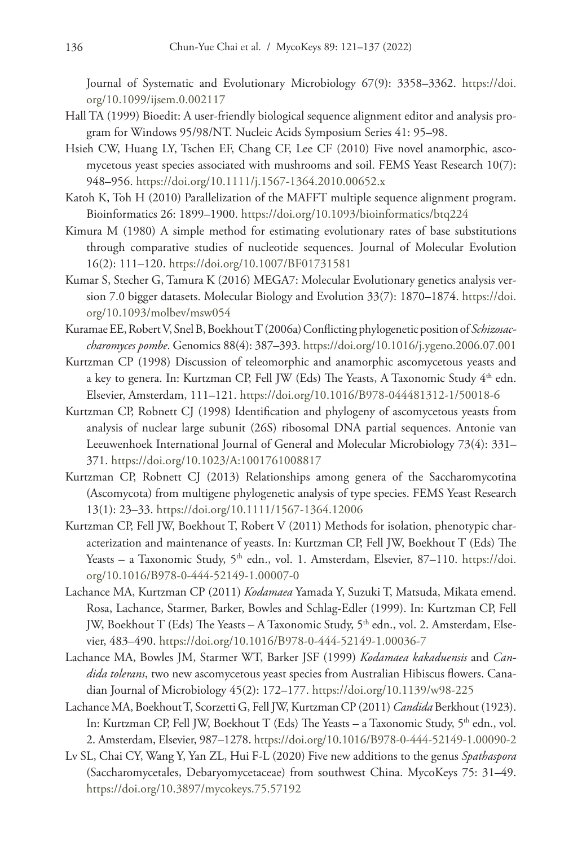Journal of Systematic and Evolutionary Microbiology 67(9): 3358–3362. [https://doi.](https://doi.org/10.1099/ijsem.0.002117) [org/10.1099/ijsem.0.002117](https://doi.org/10.1099/ijsem.0.002117)

- Hall TA (1999) Bioedit: A user-friendly biological sequence alignment editor and analysis program for Windows 95/98/NT. Nucleic Acids Symposium Series 41: 95–98.
- Hsieh CW, Huang LY, Tschen EF, Chang CF, Lee CF (2010) Five novel anamorphic, ascomycetous yeast species associated with mushrooms and soil. FEMS Yeast Research 10(7): 948–956.<https://doi.org/10.1111/j.1567-1364.2010.00652.x>
- Katoh K, Toh H (2010) Parallelization of the MAFFT multiple sequence alignment program. Bioinformatics 26: 1899–1900. <https://doi.org/10.1093/bioinformatics/btq224>
- Kimura M (1980) A simple method for estimating evolutionary rates of base substitutions through comparative studies of nucleotide sequences. Journal of Molecular Evolution 16(2): 111–120. <https://doi.org/10.1007/BF01731581>
- Kumar S, Stecher G, Tamura K (2016) MEGA7: Molecular Evolutionary genetics analysis version 7.0 bigger datasets. Molecular Biology and Evolution 33(7): 1870–1874. [https://doi.](https://doi.org/10.1093/molbev/msw054) [org/10.1093/molbev/msw054](https://doi.org/10.1093/molbev/msw054)
- KuramaeEE, RobertV, SnelB, BoekhoutT (2006a) Conflicting phylogenetic positionof *Schizosaccharomyces pombe*. Genomics 88(4): 387–393.<https://doi.org/10.1016/j.ygeno.2006.07.001>
- Kurtzman CP (1998) Discussion of teleomorphic and anamorphic ascomycetous yeasts and a key to genera. In: Kurtzman CP, Fell JW (Eds) The Yeasts, A Taxonomic Study 4<sup>th</sup> edn. Elsevier, Amsterdam, 111–121. <https://doi.org/10.1016/B978-044481312-1/50018-6>
- Kurtzman CP, Robnett CJ (1998) Identification and phylogeny of ascomycetous yeasts from analysis of nuclear large subunit (26S) ribosomal DNA partial sequences. Antonie van Leeuwenhoek International Journal of General and Molecular Microbiology 73(4): 331– 371.<https://doi.org/10.1023/A:1001761008817>
- Kurtzman CP, Robnett CJ (2013) Relationships among genera of the Saccharomycotina (Ascomycota) from multigene phylogenetic analysis of type species. FEMS Yeast Research 13(1): 23–33. <https://doi.org/10.1111/1567-1364.12006>
- Kurtzman CP, Fell JW, Boekhout T, Robert V (2011) Methods for isolation, phenotypic characterization and maintenance of yeasts. In: Kurtzman CP, Fell JW, Boekhout T (Eds) The Yeasts – a Taxonomic Study, 5<sup>th</sup> edn., vol. 1. Amsterdam, Elsevier, 87–110. [https://doi.](https://doi.org/10.1016/B978-0-444-52149-1.00007-0) [org/10.1016/B978-0-444-52149-1.00007-0](https://doi.org/10.1016/B978-0-444-52149-1.00007-0)
- Lachance MA, Kurtzman CP (2011) *Kodamaea* Yamada Y, Suzuki T, Matsuda, Mikata emend. Rosa, Lachance, Starmer, Barker, Bowles and Schlag-Edler (1999). In: Kurtzman CP, Fell JW, Boekhout T (Eds) The Yeasts - A Taxonomic Study, 5<sup>th</sup> edn., vol. 2. Amsterdam, Elsevier, 483–490.<https://doi.org/10.1016/B978-0-444-52149-1.00036-7>
- Lachance MA, Bowles JM, Starmer WT, Barker JSF (1999) *Kodamaea kakaduensis* and *Candida tolerans*, two new ascomycetous yeast species from Australian Hibiscus flowers. Canadian Journal of Microbiology 45(2): 172–177.<https://doi.org/10.1139/w98-225>
- Lachance MA, BoekhoutT, Scorzetti G, FellJW, KurtzmanCP (2011) *Candida* Berkhout (1923). In: Kurtzman CP, Fell JW, Boekhout T (Eds) The Yeasts – a Taxonomic Study, 5th edn., vol. 2. Amsterdam, Elsevier, 987–1278.<https://doi.org/10.1016/B978-0-444-52149-1.00090-2>
- Lv SL, Chai CY, Wang Y, Yan ZL, Hui F-L (2020) Five new additions to the genus *Spathaspora* (Saccharomycetales, Debaryomycetaceae) from southwest China. MycoKeys 75: 31–49. <https://doi.org/10.3897/mycokeys.75.57192>